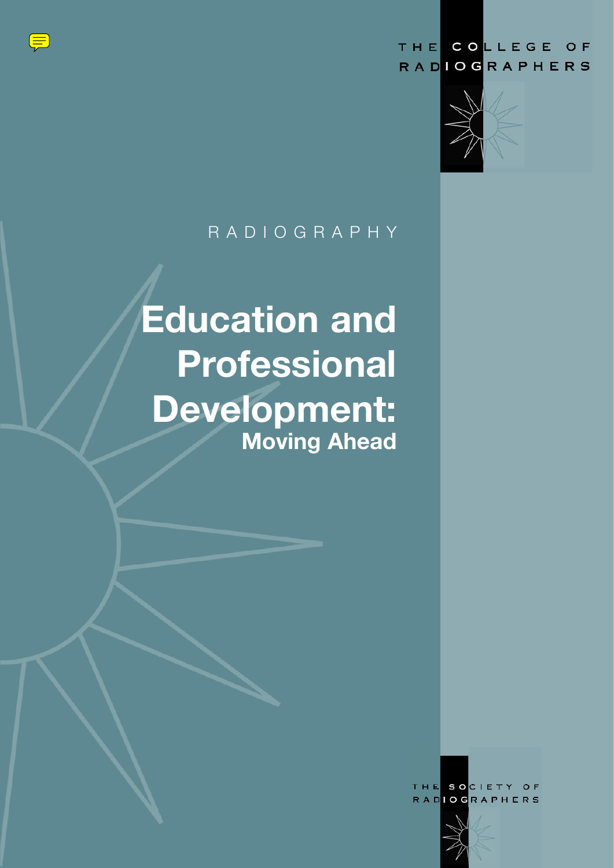



### R A D I O G R A P H Y

# **Education and Professional Development: Moving Ahead**

THE SOCIETY O F **RADIOGRAPHERS** 

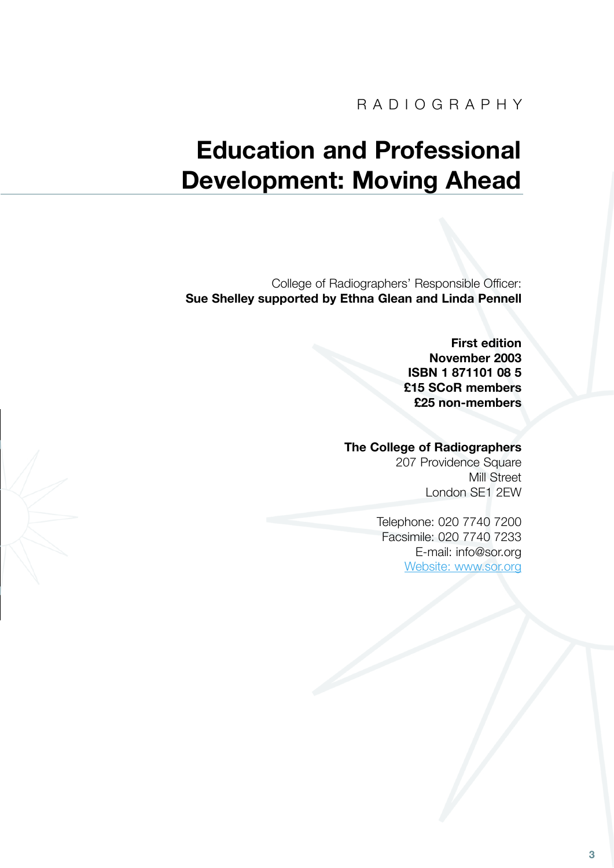## **Education and Professional Development: Moving Ahead**

College of Radiographers' Responsible Officer: **Sue Shelley supported by Ethna Glean and Linda Pennell**

> **First edition November 2003 ISBN 1 871101 08 5 £15 SCoR members £25 non-members**

### **The College of Radiographers**

207 Providence Square Mill Street London SE1 2EW

Telephone: 020 7740 7200 Facsimile: 020 7740 7233 [E-mail: info@sor.org](mailto:%20info@sor.org) [Website: www.sor.org](http://www.sor.org)

**3**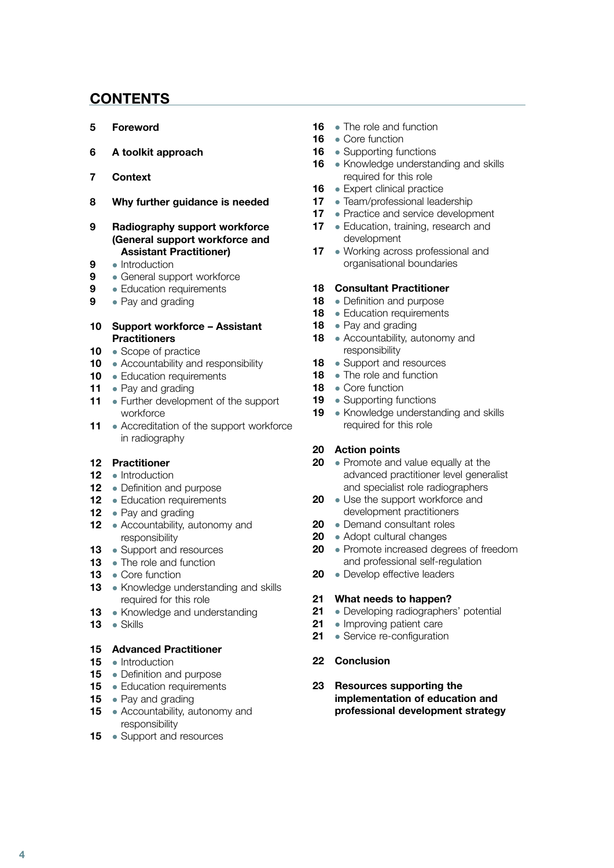### **CONTENTS**

- **[5 Foreword](#page-3-0)**
- **[6 A toolkit approach](#page-4-0)**
- **[7 Context](#page-5-0)**
- **[8 Why further guidance is needed](#page-6-0)**

### **Radiography support workforce  [\(General support workforce and](#page-7-0)  Assistant Practitioner)**

- Introduction
- **e** General support workforce
- **e** Education requirements
- Pay and grading

### **[Support workforce – Assistant](#page-8-0)  Practitioners**

- Scope of practice
- Accountability and responsibility
- · Education requirements
- Pay and grading
- Further development of the support workforce
- Accreditation of the support workforce in radiography

### **Practitioner**

- 12 · Introduction
- Definition and purpose
- **e** Education requirements
- Pay and grading
- Accountability, autonomy and responsibility
- Support and resources
- The role and function
- Core function
- Knowledge understanding and skills required for this role
- Knowledge and understanding
- Skills

### **Advanced Practitioner**

- Introduction
- Definition and purpose
- **•** Education requirements
- Pay and grading
- Accountability, autonomy and responsibility
- Support and resources
- The role and function
- Core function
- Supporting functions
- Knowledge understanding and skills required for this role
- Expert clinical practice
- Team/professional leadership
- [Practice and service development](#page-15-0)
- Education, training, research and development
- Working across professional and organisational boundaries

#### **Consultant Practitioner**

- Definition and purpose
- · Education requirements
- Pay and grading
- Accountability, autonomy and responsibility
- Support and resources
- The role and function
- Core function
- Supporting functions
- Knowledge understanding and skills required for this role

### **Action points**

- Promote and value equally at the  [advanced practitioner level generalist](#page-18-0)  and specialist role radiographers
- Use the support workforce and development practitioners
- Demand consultant roles
- Adopt cultural changes
- Promote increased degrees of freedom and professional self-regulation
- Develop effective leaders

### **What needs to happen?**

- [Developing radiographers' potential](#page-19-0)
- Improving patient care
- Service re-configuration

### **[Conclusion](#page-20-0)**

 **Resources supporting the implementation of education and  [professional development strategy](#page-21-0)**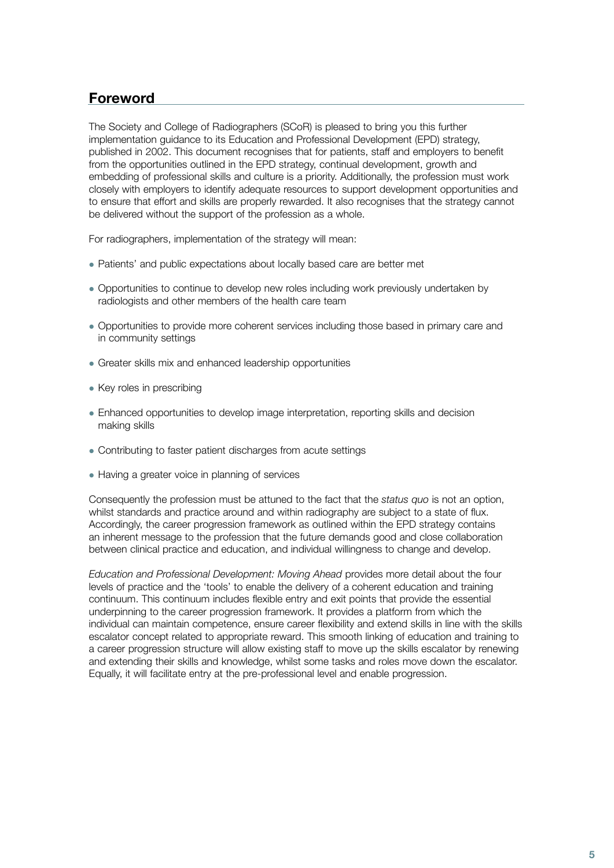### <span id="page-3-0"></span>**Foreword**

The Society and College of Radiographers (SCoR) is pleased to bring you this further implementation guidance to its Education and Professional Development (EPD) strategy, published in 2002. This document recognises that for patients, staff and employers to benefit from the opportunities outlined in the EPD strategy, continual development, growth and embedding of professional skills and culture is a priority. Additionally, the profession must work closely with employers to identify adequate resources to support development opportunities and to ensure that effort and skills are properly rewarded. It also recognises that the strategy cannot be delivered without the support of the profession as a whole.

For radiographers, implementation of the strategy will mean:

- Patients' and public expectations about locally based care are better met
- Opportunities to continue to develop new roles including work previously undertaken by radiologists and other members of the health care team
- Opportunities to provide more coherent services including those based in primary care and in community settings
- Greater skills mix and enhanced leadership opportunities
- $\bullet$  Key roles in prescribing
- Enhanced opportunities to develop image interpretation, reporting skills and decision making skills
- Contributing to faster patient discharges from acute settings
- Having a greater voice in planning of services

Consequently the profession must be attuned to the fact that the *status quo* is not an option, whilst standards and practice around and within radiography are subject to a state of flux. Accordingly, the career progression framework as outlined within the EPD strategy contains an inherent message to the profession that the future demands good and close collaboration between clinical practice and education, and individual willingness to change and develop.

*Education and Professional Development: Moving Ahead* provides more detail about the four levels of practice and the 'tools' to enable the delivery of a coherent education and training continuum. This continuum includes flexible entry and exit points that provide the essential underpinning to the career progression framework. It provides a platform from which the individual can maintain competence, ensure career flexibility and extend skills in line with the skills escalator concept related to appropriate reward. This smooth linking of education and training to a career progression structure will allow existing staff to move up the skills escalator by renewing and extending their skills and knowledge, whilst some tasks and roles move down the escalator. Equally, it will facilitate entry at the pre-professional level and enable progression.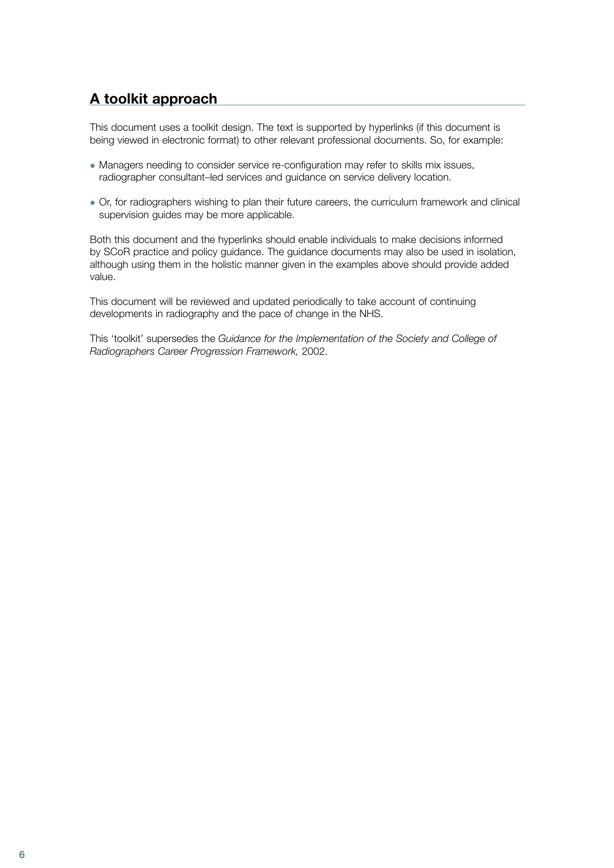### <span id="page-4-0"></span>**A toolkit approach**

This document uses a toolkit design. The text is supported by hyperlinks (if this document is being viewed in electronic format) to other relevant professional documents. So, for example:

- Managers needing to consider service re-configuration may refer to skills mix issues, radiographer consultant–led services and guidance on service delivery location.
- Or, for radiographers wishing to plan their future careers, the curriculum framework and clinical supervision quides may be more applicable.

Both this document and the hyperlinks should enable individuals to make decisions informed by SCoR practice and policy guidance. The guidance documents may also be used in isolation, although using them in the holistic manner given in the examples above should provide added value.

This document will be reviewed and updated periodically to take account of continuing developments in radiography and the pace of change in the NHS.

This 'toolkit' supersedes the *Guidance for the Implementation of the Society and College of Radiographers Career Progression Framework,* 2002.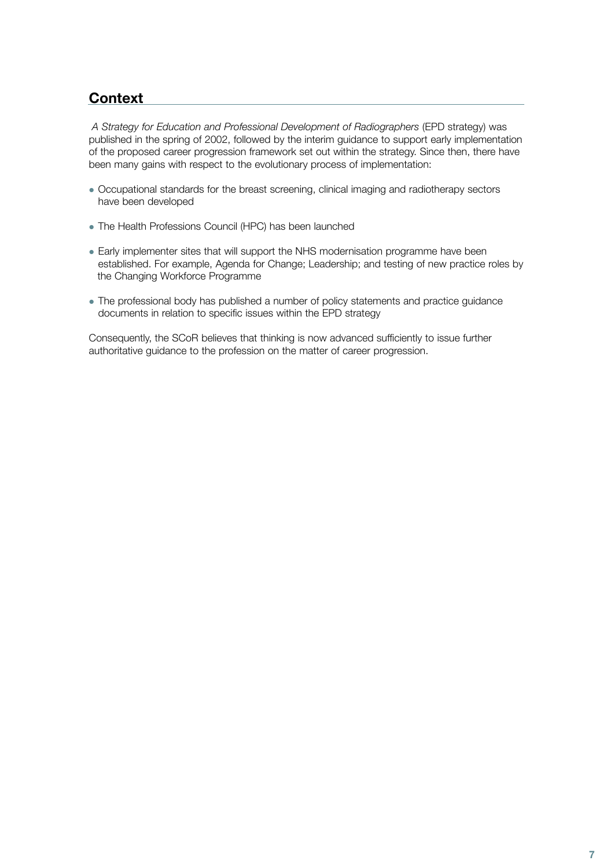### <span id="page-5-0"></span>**Context**

*A Strategy for Education and Professional Development of Radiographers* (EPD strategy) was published in the spring of 2002, followed by the interim guidance to support early implementation of the proposed career progression framework set out within the strategy. Since then, there have been many gains with respect to the evolutionary process of implementation:

- Occupational standards for the breast screening, clinical imaging and radiotherapy sectors have been developed
- The Health Professions Council (HPC) has been launched
- Early implementer sites that will support the NHS modernisation programme have been established. For example, Agenda for Change; Leadership; and testing of new practice roles by the Changing Workforce Programme
- The professional body has published a number of policy statements and practice guidance documents in relation to specific issues within the EPD strategy

Consequently, the SCoR believes that thinking is now advanced sufficiently to issue further authoritative guidance to the profession on the matter of career progression.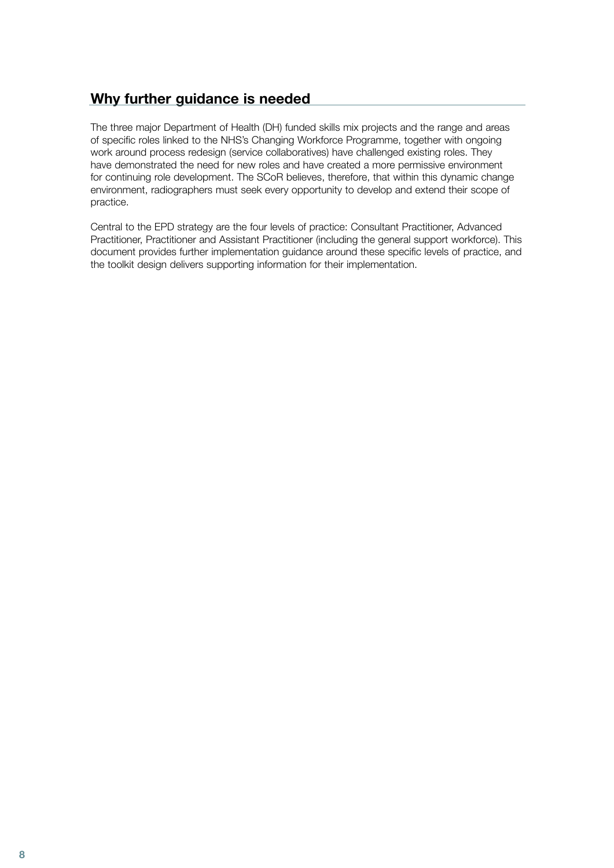### <span id="page-6-0"></span>**Why further guidance is needed**

The three major Department of Health (DH) funded skills mix projects and the range and areas of specific roles linked to the NHS's Changing Workforce Programme, together with ongoing work around process redesign (service collaboratives) have challenged existing roles. They have demonstrated the need for new roles and have created a more permissive environment for continuing role development. The SCoR believes, therefore, that within this dynamic change environment, radiographers must seek every opportunity to develop and extend their scope of practice.

Central to the EPD strategy are the four levels of practice: Consultant Practitioner, Advanced Practitioner, Practitioner and Assistant Practitioner (including the general support workforce). This document provides further implementation guidance around these specific levels of practice, and the toolkit design delivers supporting information for their implementation.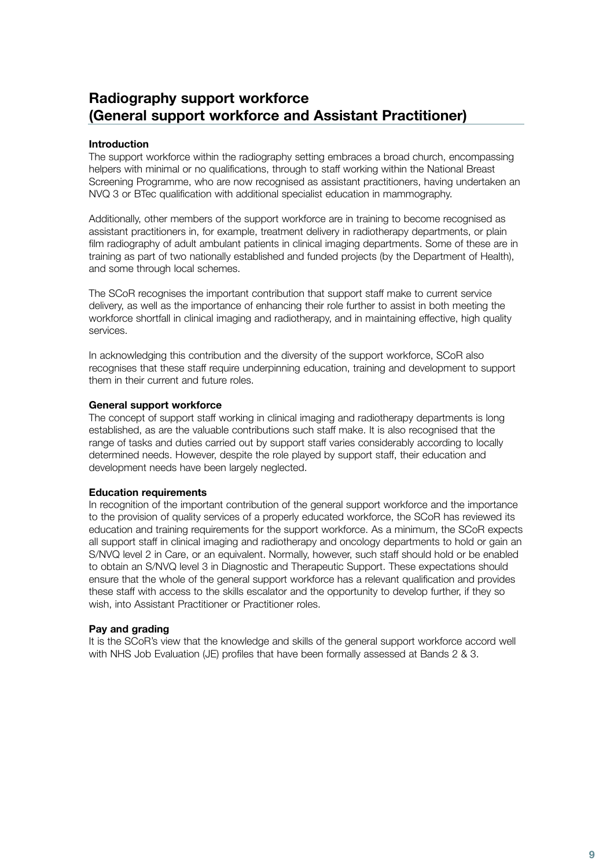### <span id="page-7-0"></span>**Radiography support workforce (General support workforce and Assistant Practitioner)**

### **Introduction**

The support workforce within the radiography setting embraces a broad church, encompassing helpers with minimal or no qualifications, through to staff working within the National Breast Screening Programme, who are now recognised as assistant practitioners, having undertaken an NVQ 3 or BTec qualification with additional specialist education in mammography.

Additionally, other members of the support workforce are in training to become recognised as assistant practitioners in, for example, treatment delivery in radiotherapy departments, or plain film radiography of adult ambulant patients in clinical imaging departments. Some of these are in training as part of two nationally established and funded projects (by the Department of Health), and some through local schemes.

The SCoR recognises the important contribution that support staff make to current service delivery, as well as the importance of enhancing their role further to assist in both meeting the workforce shortfall in clinical imaging and radiotherapy, and in maintaining effective, high quality services.

In acknowledging this contribution and the diversity of the support workforce, SCoR also recognises that these staff require underpinning education, training and development to support them in their current and future roles.

### **General support workforce**

The concept of support staff working in clinical imaging and radiotherapy departments is long established, as are the valuable contributions such staff make. It is also recognised that the range of tasks and duties carried out by support staff varies considerably according to locally determined needs. However, despite the role played by support staff, their education and development needs have been largely neglected.

### **Education requirements**

In recognition of the important contribution of the general support workforce and the importance to the provision of quality services of a properly educated workforce, the SCoR has reviewed its education and training requirements for the support workforce. As a minimum, the SCoR expects all support staff in clinical imaging and radiotherapy and oncology departments to hold or gain an S/NVQ level 2 in Care, or an equivalent. Normally, however, such staff should hold or be enabled to obtain an S/NVQ level 3 in Diagnostic and Therapeutic Support. These expectations should ensure that the whole of the general support workforce has a relevant qualification and provides these staff with access to the skills escalator and the opportunity to develop further, if they so wish, into Assistant Practitioner or Practitioner roles.

### **Pay and grading**

It is the SCoR's view that the knowledge and skills of the general support workforce accord well with NHS Job Evaluation (JE) profiles that have been formally assessed at Bands 2 & 3.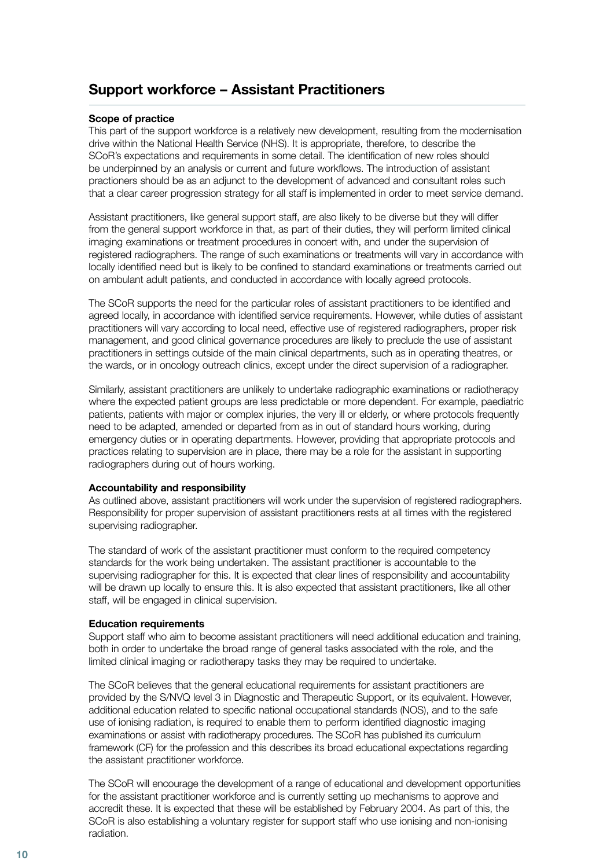### <span id="page-8-0"></span>**Support workforce – Assistant Practitioners**

### **Scope of practice**

This part of the support workforce is a relatively new development, resulting from the modernisation drive within the National Health Service (NHS). It is appropriate, therefore, to describe the SCoR's expectations and requirements in some detail. The identification of new roles should be underpinned by an analysis or current and future workflows. The introduction of assistant practioners should be as an adjunct to the development of advanced and consultant roles such that a clear career progression strategy for all staff is implemented in order to meet service demand.

Assistant practitioners, like general support staff, are also likely to be diverse but they will differ from the general support workforce in that, as part of their duties, they will perform limited clinical imaging examinations or treatment procedures in concert with, and under the supervision of registered radiographers. The range of such examinations or treatments will vary in accordance with locally identified need but is likely to be confined to standard examinations or treatments carried out on ambulant adult patients, and conducted in accordance with locally agreed protocols.

The SCoR supports the need for the particular roles of assistant practitioners to be identified and agreed locally, in accordance with identified service requirements. However, while duties of assistant practitioners will vary according to local need, effective use of registered radiographers, proper risk management, and good clinical governance procedures are likely to preclude the use of assistant practitioners in settings outside of the main clinical departments, such as in operating theatres, or the wards, or in oncology outreach clinics, except under the direct supervision of a radiographer.

Similarly, assistant practitioners are unlikely to undertake radiographic examinations or radiotherapy where the expected patient groups are less predictable or more dependent. For example, paediatric patients, patients with major or complex injuries, the very ill or elderly, or where protocols frequently need to be adapted, amended or departed from as in out of standard hours working, during emergency duties or in operating departments. However, providing that appropriate protocols and practices relating to supervision are in place, there may be a role for the assistant in supporting radiographers during out of hours working.

### **Accountability and responsibility**

As outlined above, assistant practitioners will work under the supervision of registered radiographers. Responsibility for proper supervision of assistant practitioners rests at all times with the registered supervising radiographer.

The standard of work of the assistant practitioner must conform to the required competency standards for the work being undertaken. The assistant practitioner is accountable to the supervising radiographer for this. It is expected that clear lines of responsibility and accountability will be drawn up locally to ensure this. It is also expected that assistant practitioners, like all other staff, will be engaged in clinical supervision.

### **Education requirements**

Support staff who aim to become assistant practitioners will need additional education and training, both in order to undertake the broad range of general tasks associated with the role, and the limited clinical imaging or radiotherapy tasks they may be required to undertake.

The SCoR believes that the general educational requirements for assistant practitioners are provided by the S/NVQ level 3 in Diagnostic and Therapeutic Support, or its equivalent. However, additional education related to specific national occupational standards (NOS), and to the safe use of ionising radiation, is required to enable them to perform identified diagnostic imaging examinations or assist with radiotherapy procedures. The SCoR has published its curriculum framework (CF) for the profession and this describes its broad educational expectations regarding the assistant practitioner workforce.

The SCoR will encourage the development of a range of educational and development opportunities for the assistant practitioner workforce and is currently setting up mechanisms to approve and accredit these. It is expected that these will be established by February 2004. As part of this, the SCoR is also establishing a voluntary register for support staff who use ionising and non-ionising radiation.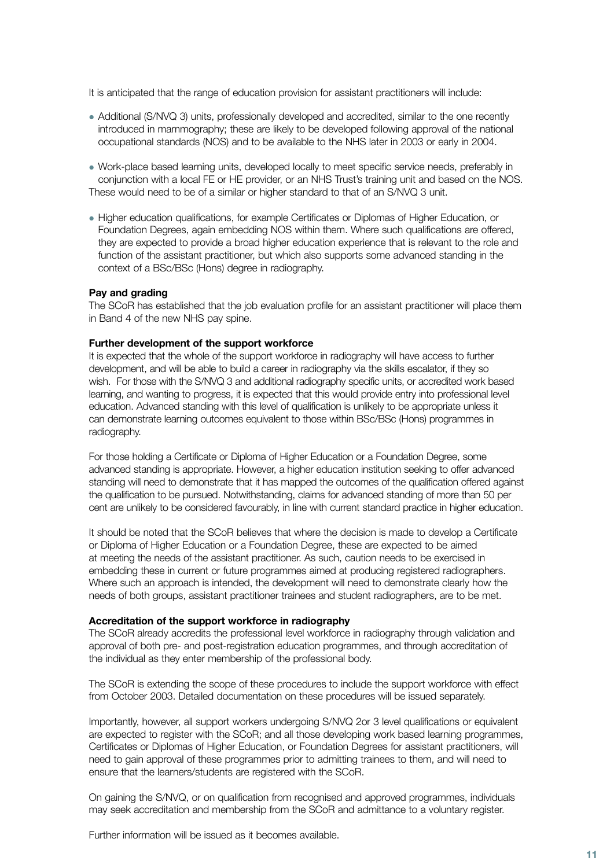<span id="page-9-0"></span>It is anticipated that the range of education provision for assistant practitioners will include:

- Additional (S/NVQ 3) units, professionally developed and accredited, similar to the one recently introduced in mammography; these are likely to be developed following approval of the national occupational standards (NOS) and to be available to the NHS later in 2003 or early in 2004.
- Work-place based learning units, developed locally to meet specific service needs, preferably in conjunction with a local FE or HE provider, or an NHS Trust's training unit and based on the NOS. These would need to be of a similar or higher standard to that of an S/NVQ 3 unit.
- Higher education qualifications, for example Certificates or Diplomas of Higher Education, or Foundation Degrees, again embedding NOS within them. Where such qualifications are offered, they are expected to provide a broad higher education experience that is relevant to the role and function of the assistant practitioner, but which also supports some advanced standing in the context of a BSc/BSc (Hons) degree in radiography.

### **Pay and grading**

The SCoR has established that the job evaluation profile for an assistant practitioner will place them in Band 4 of the new NHS pay spine.

#### **Further development of the support workforce**

It is expected that the whole of the support workforce in radiography will have access to further development, and will be able to build a career in radiography via the skills escalator, if they so wish. For those with the S/NVQ 3 and additional radiography specific units, or accredited work based learning, and wanting to progress, it is expected that this would provide entry into professional level education. Advanced standing with this level of qualification is unlikely to be appropriate unless it can demonstrate learning outcomes equivalent to those within BSc/BSc (Hons) programmes in radiography.

For those holding a Certificate or Diploma of Higher Education or a Foundation Degree, some advanced standing is appropriate. However, a higher education institution seeking to offer advanced standing will need to demonstrate that it has mapped the outcomes of the qualification offered against the qualification to be pursued. Notwithstanding, claims for advanced standing of more than 50 per cent are unlikely to be considered favourably, in line with current standard practice in higher education.

It should be noted that the SCoR believes that where the decision is made to develop a Certificate or Diploma of Higher Education or a Foundation Degree, these are expected to be aimed at meeting the needs of the assistant practitioner. As such, caution needs to be exercised in embedding these in current or future programmes aimed at producing registered radiographers. Where such an approach is intended, the development will need to demonstrate clearly how the needs of both groups, assistant practitioner trainees and student radiographers, are to be met.

#### **Accreditation of the support workforce in radiography**

The SCoR already accredits the professional level workforce in radiography through validation and approval of both pre- and post-registration education programmes, and through accreditation of the individual as they enter membership of the professional body.

The SCoR is extending the scope of these procedures to include the support workforce with effect from October 2003. Detailed documentation on these procedures will be issued separately.

Importantly, however, all support workers undergoing S/NVQ 2or 3 level qualifications or equivalent are expected to register with the SCoR; and all those developing work based learning programmes, Certificates or Diplomas of Higher Education, or Foundation Degrees for assistant practitioners, will need to gain approval of these programmes prior to admitting trainees to them, and will need to ensure that the learners/students are registered with the SCoR.

On gaining the S/NVQ, or on qualification from recognised and approved programmes, individuals may seek accreditation and membership from the SCoR and admittance to a voluntary register.

Further information will be issued as it becomes available.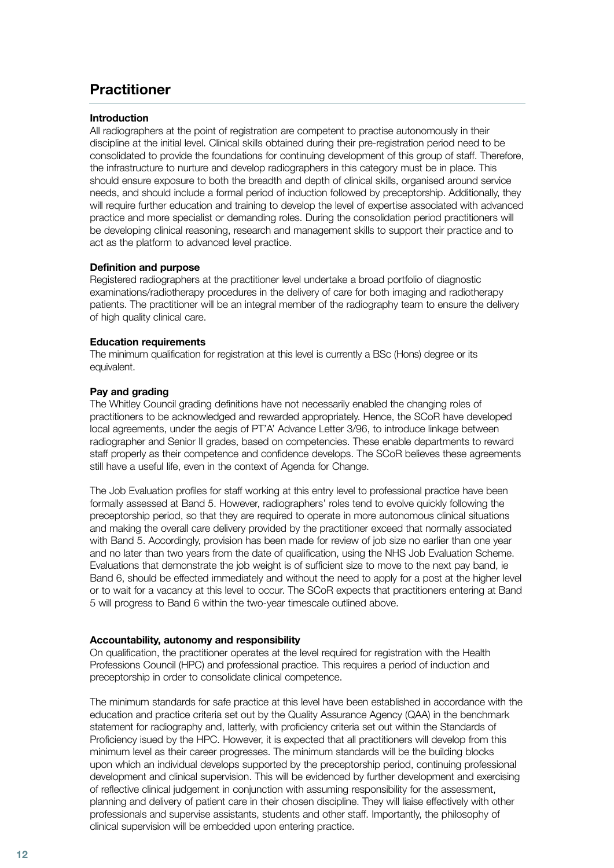### <span id="page-10-0"></span>**Practitioner**

### **Introduction**

All radiographers at the point of registration are competent to practise autonomously in their discipline at the initial level. Clinical skills obtained during their pre-registration period need to be consolidated to provide the foundations for continuing development of this group of staff. Therefore, the infrastructure to nurture and develop radiographers in this category must be in place. This should ensure exposure to both the breadth and depth of clinical skills, organised around service needs, and should include a formal period of induction followed by preceptorship. Additionally, they will require further education and training to develop the level of expertise associated with advanced practice and more specialist or demanding roles. During the consolidation period practitioners will be developing clinical reasoning, research and management skills to support their practice and to act as the platform to advanced level practice.

### **Definition and purpose**

Registered radiographers at the practitioner level undertake a broad portfolio of diagnostic examinations/radiotherapy procedures in the delivery of care for both imaging and radiotherapy patients. The practitioner will be an integral member of the radiography team to ensure the delivery of high quality clinical care.

### **Education requirements**

The minimum qualification for registration at this level is currently a BSc (Hons) degree or its equivalent.

### **Pay and grading**

The Whitley Council grading definitions have not necessarily enabled the changing roles of practitioners to be acknowledged and rewarded appropriately. Hence, the SCoR have developed local agreements, under the aegis of PT'A' Advance Letter 3/96, to introduce linkage between radiographer and Senior II grades, based on competencies. These enable departments to reward staff properly as their competence and confidence develops. The SCoR believes these agreements still have a useful life, even in the context of Agenda for Change.

The Job Evaluation profiles for staff working at this entry level to professional practice have been formally assessed at Band 5. However, radiographers' roles tend to evolve quickly following the preceptorship period, so that they are required to operate in more autonomous clinical situations and making the overall care delivery provided by the practitioner exceed that normally associated with Band 5. Accordingly, provision has been made for review of job size no earlier than one year and no later than two years from the date of qualification, using the NHS Job Evaluation Scheme. Evaluations that demonstrate the job weight is of sufficient size to move to the next pay band, ie Band 6, should be effected immediately and without the need to apply for a post at the higher level or to wait for a vacancy at this level to occur. The SCoR expects that practitioners entering at Band 5 will progress to Band 6 within the two-year timescale outlined above.

### **Accountability, autonomy and responsibility**

On qualification, the practitioner operates at the level required for registration with the Health Professions Council (HPC) and professional practice. This requires a period of induction and preceptorship in order to consolidate clinical competence.

The minimum standards for safe practice at this level have been established in accordance with the education and practice criteria set out by the Quality Assurance Agency (QAA) in the benchmark statement for radiography and, latterly, with proficiency criteria set out within the Standards of Proficiency isued by the HPC. However, it is expected that all practitioners will develop from this minimum level as their career progresses. The minimum standards will be the building blocks upon which an individual develops supported by the preceptorship period, continuing professional development and clinical supervision. This will be evidenced by further development and exercising of reflective clinical judgement in conjunction with assuming responsibility for the assessment, planning and delivery of patient care in their chosen discipline. They will liaise effectively with other professionals and supervise assistants, students and other staff. Importantly, the philosophy of clinical supervision will be embedded upon entering practice.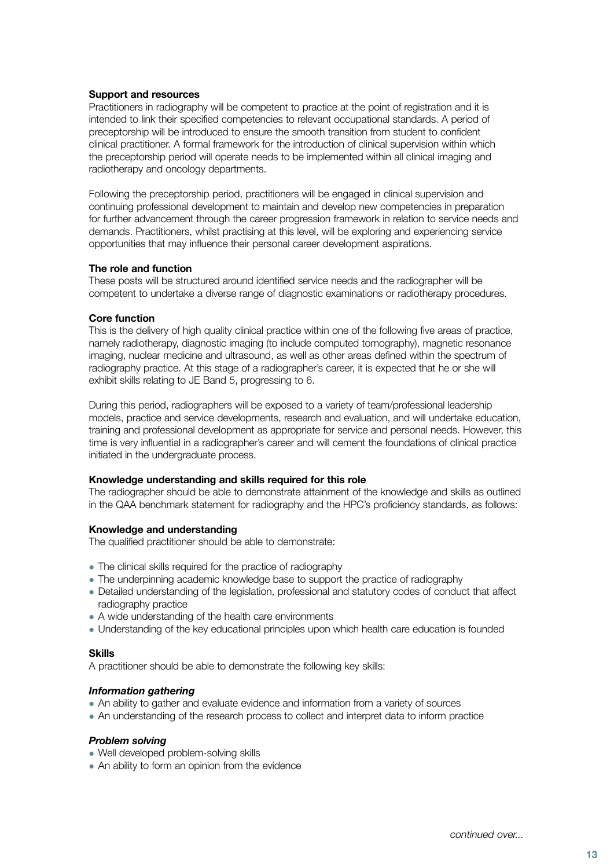### <span id="page-11-0"></span>**Support and resources**

Practitioners in radiography will be competent to practice at the point of registration and it is intended to link their specified competencies to relevant occupational standards. A period of preceptorship will be introduced to ensure the smooth transition from student to confident clinical practitioner. A formal framework for the introduction of clinical supervision within which the preceptorship period will operate needs to be implemented within all clinical imaging and radiotherapy and oncology departments.

Following the preceptorship period, practitioners will be engaged in clinical supervision and continuing professional development to maintain and develop new competencies in preparation for further advancement through the career progression framework in relation to service needs and demands. Practitioners, whilst practising at this level, will be exploring and experiencing service opportunities that may influence their personal career development aspirations.

### **The role and function**

These posts will be structured around identified service needs and the radiographer will be competent to undertake a diverse range of diagnostic examinations or radiotherapy procedures.

### **Core function**

This is the delivery of high quality clinical practice within one of the following five areas of practice, namely radiotherapy, diagnostic imaging (to include computed tomography), magnetic resonance imaging, nuclear medicine and ultrasound, as well as other areas defined within the spectrum of radiography practice. At this stage of a radiographer's career, it is expected that he or she will exhibit skills relating to JE Band 5, progressing to 6.

During this period, radiographers will be exposed to a variety of team/professional leadership models, practice and service developments, research and evaluation, and will undertake education, training and professional development as appropriate for service and personal needs. However, this time is very influential in a radiographer's career and will cement the foundations of clinical practice initiated in the undergraduate process.

### **Knowledge understanding and skills required for this role**

The radiographer should be able to demonstrate attainment of the knowledge and skills as outlined in the QAA benchmark statement for radiography and the HPC's proficiency standards, as follows:

### **Knowledge and understanding**

The qualified practitioner should be able to demonstrate:

- The clinical skills required for the practice of radiography
- The underpinning academic knowledge base to support the practice of radiography
- Detailed understanding of the legislation, professional and statutory codes of conduct that affect radiography practice
- A wide understanding of the health care environments
- Understanding of the key educational principles upon which health care education is founded

### **Skills**

A practitioner should be able to demonstrate the following key skills:

### *Information gathering*

- An ability to gather and evaluate evidence and information from a variety of sources
- An understanding of the research process to collect and interpret data to inform practice

### *Problem solving*

- Well developed problem-solving skills
- $\bullet$  An ability to form an opinion from the evidence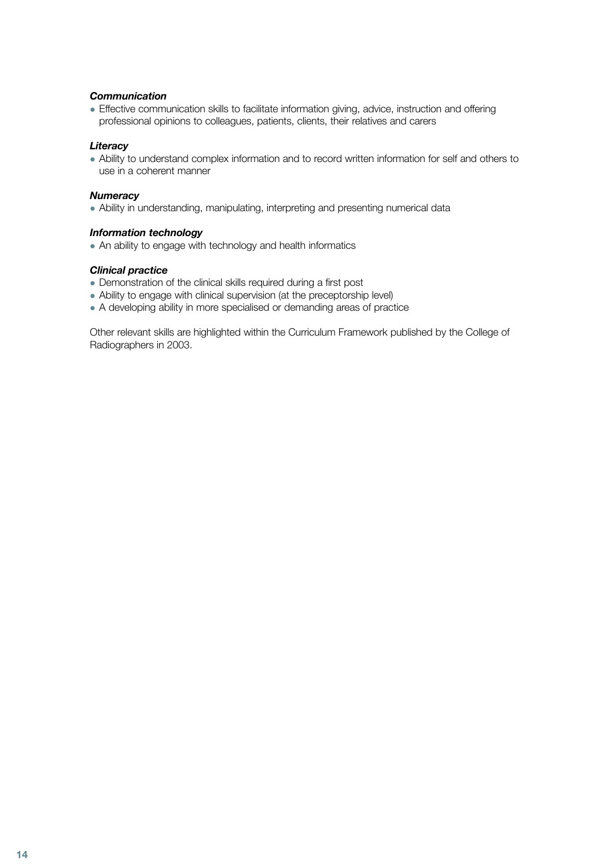### *Communication*

• Effective communication skills to facilitate information giving, advice, instruction and offering professional opinions to colleagues, patients, clients, their relatives and carers

### *Literacy*

• Ability to understand complex information and to record written information for self and others to use in a coherent manner

### *Numeracy*

• Ability in understanding, manipulating, interpreting and presenting numerical data

### *Information technology*

• An ability to engage with technology and health informatics

### *Clinical practice*

- Demonstration of the clinical skills required during a first post
- Ability to engage with clinical supervision (at the preceptorship level)
- A developing ability in more specialised or demanding areas of practice

Other relevant skills are highlighted within the Curriculum Framework published by the College of Radiographers in 2003.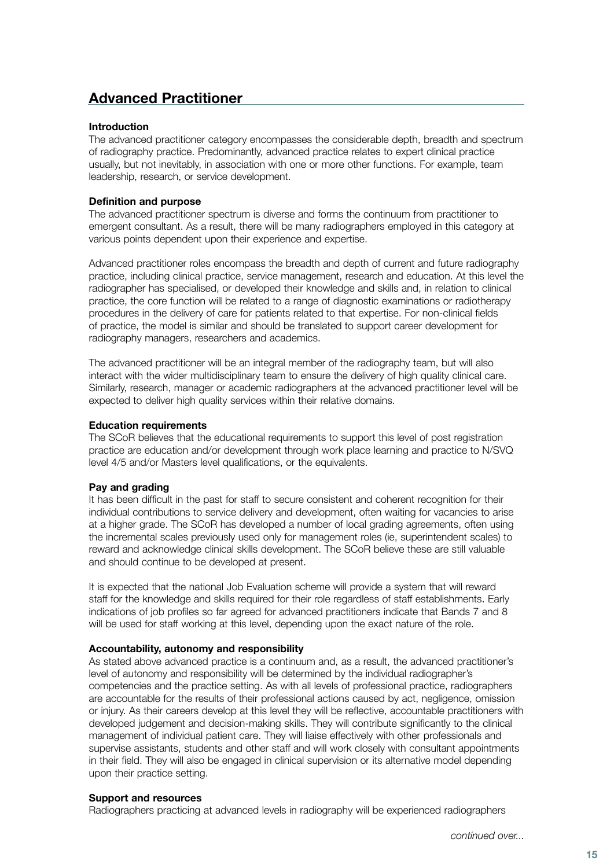### <span id="page-13-0"></span>**Advanced Practitioner**

### **Introduction**

The advanced practitioner category encompasses the considerable depth, breadth and spectrum of radiography practice. Predominantly, advanced practice relates to expert clinical practice usually, but not inevitably, in association with one or more other functions. For example, team leadership, research, or service development.

### **Definition and purpose**

The advanced practitioner spectrum is diverse and forms the continuum from practitioner to emergent consultant. As a result, there will be many radiographers employed in this category at various points dependent upon their experience and expertise.

Advanced practitioner roles encompass the breadth and depth of current and future radiography practice, including clinical practice, service management, research and education. At this level the radiographer has specialised, or developed their knowledge and skills and, in relation to clinical practice, the core function will be related to a range of diagnostic examinations or radiotherapy procedures in the delivery of care for patients related to that expertise. For non-clinical fields of practice, the model is similar and should be translated to support career development for radiography managers, researchers and academics.

The advanced practitioner will be an integral member of the radiography team, but will also interact with the wider multidisciplinary team to ensure the delivery of high quality clinical care. Similarly, research, manager or academic radiographers at the advanced practitioner level will be expected to deliver high quality services within their relative domains.

### **Education requirements**

The SCoR believes that the educational requirements to support this level of post registration practice are education and/or development through work place learning and practice to N/SVQ level 4/5 and/or Masters level qualifications, or the equivalents.

### **Pay and grading**

It has been difficult in the past for staff to secure consistent and coherent recognition for their individual contributions to service delivery and development, often waiting for vacancies to arise at a higher grade. The SCoR has developed a number of local grading agreements, often using the incremental scales previously used only for management roles (ie, superintendent scales) to reward and acknowledge clinical skills development. The SCoR believe these are still valuable and should continue to be developed at present.

It is expected that the national Job Evaluation scheme will provide a system that will reward staff for the knowledge and skills required for their role regardless of staff establishments. Early indications of job profiles so far agreed for advanced practitioners indicate that Bands 7 and 8 will be used for staff working at this level, depending upon the exact nature of the role.

### **Accountability, autonomy and responsibility**

As stated above advanced practice is a continuum and, as a result, the advanced practitioner's level of autonomy and responsibility will be determined by the individual radiographer's competencies and the practice setting. As with all levels of professional practice, radiographers are accountable for the results of their professional actions caused by act, negligence, omission or injury. As their careers develop at this level they will be reflective, accountable practitioners with developed judgement and decision-making skills. They will contribute significantly to the clinical management of individual patient care. They will liaise effectively with other professionals and supervise assistants, students and other staff and will work closely with consultant appointments in their field. They will also be engaged in clinical supervision or its alternative model depending upon their practice setting.

### **Support and resources**

Radiographers practicing at advanced levels in radiography will be experienced radiographers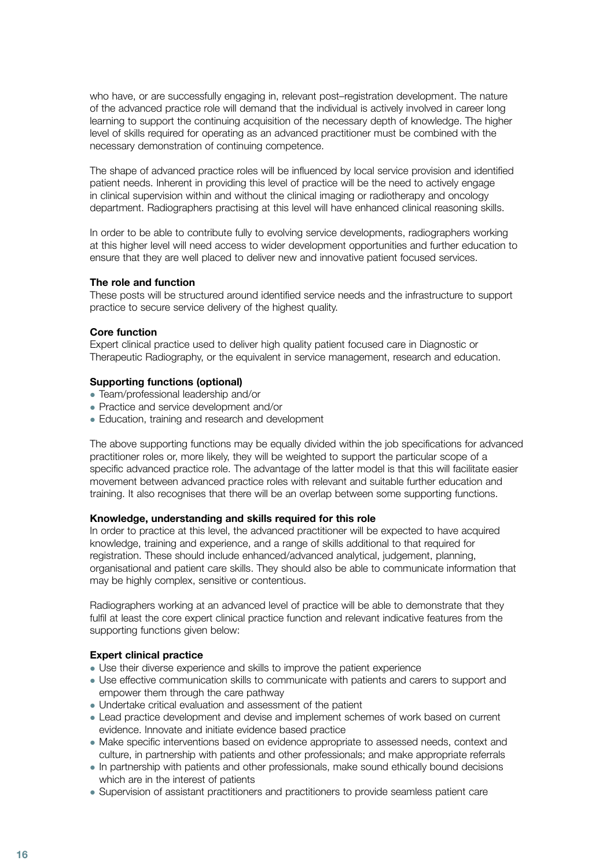<span id="page-14-0"></span>who have, or are successfully engaging in, relevant post–registration development. The nature of the advanced practice role will demand that the individual is actively involved in career long learning to support the continuing acquisition of the necessary depth of knowledge. The higher level of skills required for operating as an advanced practitioner must be combined with the necessary demonstration of continuing competence.

The shape of advanced practice roles will be influenced by local service provision and identified patient needs. Inherent in providing this level of practice will be the need to actively engage in clinical supervision within and without the clinical imaging or radiotherapy and oncology department. Radiographers practising at this level will have enhanced clinical reasoning skills.

In order to be able to contribute fully to evolving service developments, radiographers working at this higher level will need access to wider development opportunities and further education to ensure that they are well placed to deliver new and innovative patient focused services.

### **The role and function**

These posts will be structured around identified service needs and the infrastructure to support practice to secure service delivery of the highest quality.

### **Core function**

Expert clinical practice used to deliver high quality patient focused care in Diagnostic or Therapeutic Radiography, or the equivalent in service management, research and education.

### **Supporting functions (optional)**

- Team/professional leadership and/or
- Practice and service development and/or
- Education, training and research and development

The above supporting functions may be equally divided within the job specifications for advanced practitioner roles or, more likely, they will be weighted to support the particular scope of a specific advanced practice role. The advantage of the latter model is that this will facilitate easier movement between advanced practice roles with relevant and suitable further education and training. It also recognises that there will be an overlap between some supporting functions.

### **Knowledge, understanding and skills required for this role**

In order to practice at this level, the advanced practitioner will be expected to have acquired knowledge, training and experience, and a range of skills additional to that required for registration. These should include enhanced/advanced analytical, judgement, planning, organisational and patient care skills. They should also be able to communicate information that may be highly complex, sensitive or contentious.

Radiographers working at an advanced level of practice will be able to demonstrate that they fulfil at least the core expert clinical practice function and relevant indicative features from the supporting functions given below:

### **Expert clinical practice**

- Use their diverse experience and skills to improve the patient experience
- Use effective communication skills to communicate with patients and carers to support and empower them through the care pathway
- Undertake critical evaluation and assessment of the patient
- <sup>l</sup> Lead practice development and devise and implement schemes of work based on current evidence. Innovate and initiate evidence based practice
- Make specific interventions based on evidence appropriate to assessed needs, context and culture, in partnership with patients and other professionals; and make appropriate referrals
- In partnership with patients and other professionals, make sound ethically bound decisions which are in the interest of patients
- Supervision of assistant practitioners and practitioners to provide seamless patient care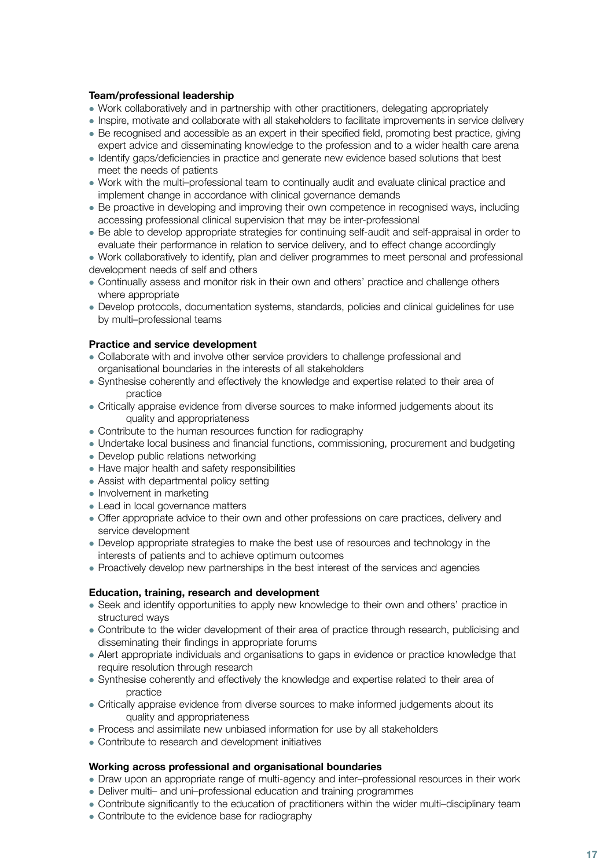### <span id="page-15-0"></span>**Team/professional leadership**

- Work collaboratively and in partnership with other practitioners, delegating appropriately
- Inspire, motivate and collaborate with all stakeholders to facilitate improvements in service delivery
- Be recognised and accessible as an expert in their specified field, promoting best practice, giving expert advice and disseminating knowledge to the profession and to a wider health care arena
- <sup>l</sup> Identify gaps/deficiencies in practice and generate new evidence based solutions that best meet the needs of patients
- Work with the multi–professional team to continually audit and evaluate clinical practice and implement change in accordance with clinical governance demands
- Be proactive in developing and improving their own competence in recognised ways, including accessing professional clinical supervision that may be inter-professional
- Be able to develop appropriate strategies for continuing self-audit and self-appraisal in order to evaluate their performance in relation to service delivery, and to effect change accordingly
- Work collaboratively to identify, plan and deliver programmes to meet personal and professional development needs of self and others
- Continually assess and monitor risk in their own and others' practice and challenge others where appropriate
- Develop protocols, documentation systems, standards, policies and clinical guidelines for use by multi–professional teams

### **Practice and service development**

- Collaborate with and involve other service providers to challenge professional and organisational boundaries in the interests of all stakeholders
- Synthesise coherently and effectively the knowledge and expertise related to their area of practice
- Critically appraise evidence from diverse sources to make informed judgements about its quality and appropriateness
- Contribute to the human resources function for radiography
- Undertake local business and financial functions, commissioning, procurement and budgeting
- Develop public relations networking
- Have major health and safety responsibilities
- Assist with departmental policy setting
- $\bullet$  Involvement in marketing
- Lead in local governance matters
- Offer appropriate advice to their own and other professions on care practices, delivery and service development
- Develop appropriate strategies to make the best use of resources and technology in the interests of patients and to achieve optimum outcomes
- Proactively develop new partnerships in the best interest of the services and agencies

### **Education, training, research and development**

- Seek and identify opportunities to apply new knowledge to their own and others' practice in structured ways
- Contribute to the wider development of their area of practice through research, publicising and disseminating their findings in appropriate forums
- Alert appropriate individuals and organisations to gaps in evidence or practice knowledge that require resolution through research
- Synthesise coherently and effectively the knowledge and expertise related to their area of practice
- Critically appraise evidence from diverse sources to make informed judgements about its quality and appropriateness
- <sup>l</sup> Process and assimilate new unbiased information for use by all stakeholders
- Contribute to research and development initiatives

### **Working across professional and organisational boundaries**

- Draw upon an appropriate range of multi-agency and inter–professional resources in their work
- Deliver multi- and uni-professional education and training programmes
- Contribute significantly to the education of practitioners within the wider multi–disciplinary team
- Contribute to the evidence base for radiography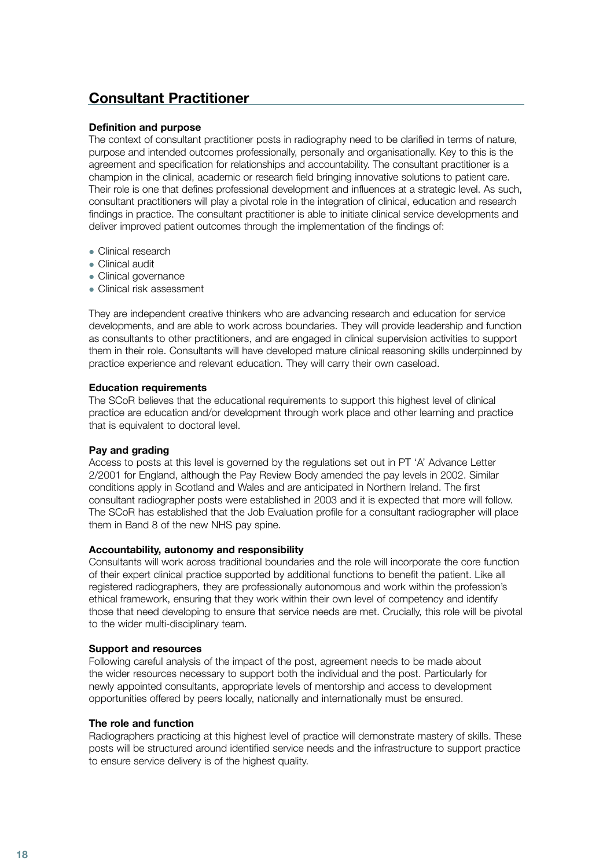### <span id="page-16-0"></span>**Consultant Practitioner**

### **Definition and purpose**

The context of consultant practitioner posts in radiography need to be clarified in terms of nature, purpose and intended outcomes professionally, personally and organisationally. Key to this is the agreement and specification for relationships and accountability. The consultant practitioner is a champion in the clinical, academic or research field bringing innovative solutions to patient care. Their role is one that defines professional development and influences at a strategic level. As such, consultant practitioners will play a pivotal role in the integration of clinical, education and research findings in practice. The consultant practitioner is able to initiate clinical service developments and deliver improved patient outcomes through the implementation of the findings of:

- Clinical research
- $\bullet$  Clinical audit
- Clinical governance
- Clinical risk assessment

They are independent creative thinkers who are advancing research and education for service developments, and are able to work across boundaries. They will provide leadership and function as consultants to other practitioners, and are engaged in clinical supervision activities to support them in their role. Consultants will have developed mature clinical reasoning skills underpinned by practice experience and relevant education. They will carry their own caseload.

### **Education requirements**

The SCoR believes that the educational requirements to support this highest level of clinical practice are education and/or development through work place and other learning and practice that is equivalent to doctoral level.

### **Pay and grading**

Access to posts at this level is governed by the regulations set out in PT 'A' Advance Letter 2/2001 for England, although the Pay Review Body amended the pay levels in 2002. Similar conditions apply in Scotland and Wales and are anticipated in Northern Ireland. The first consultant radiographer posts were established in 2003 and it is expected that more will follow. The SCoR has established that the Job Evaluation profile for a consultant radiographer will place them in Band 8 of the new NHS pay spine.

### **Accountability, autonomy and responsibility**

Consultants will work across traditional boundaries and the role will incorporate the core function of their expert clinical practice supported by additional functions to benefit the patient. Like all registered radiographers, they are professionally autonomous and work within the profession's ethical framework, ensuring that they work within their own level of competency and identify those that need developing to ensure that service needs are met. Crucially, this role will be pivotal to the wider multi-disciplinary team.

### **Support and resources**

Following careful analysis of the impact of the post, agreement needs to be made about the wider resources necessary to support both the individual and the post. Particularly for newly appointed consultants, appropriate levels of mentorship and access to development opportunities offered by peers locally, nationally and internationally must be ensured.

### **The role and function**

Radiographers practicing at this highest level of practice will demonstrate mastery of skills. These posts will be structured around identified service needs and the infrastructure to support practice to ensure service delivery is of the highest quality.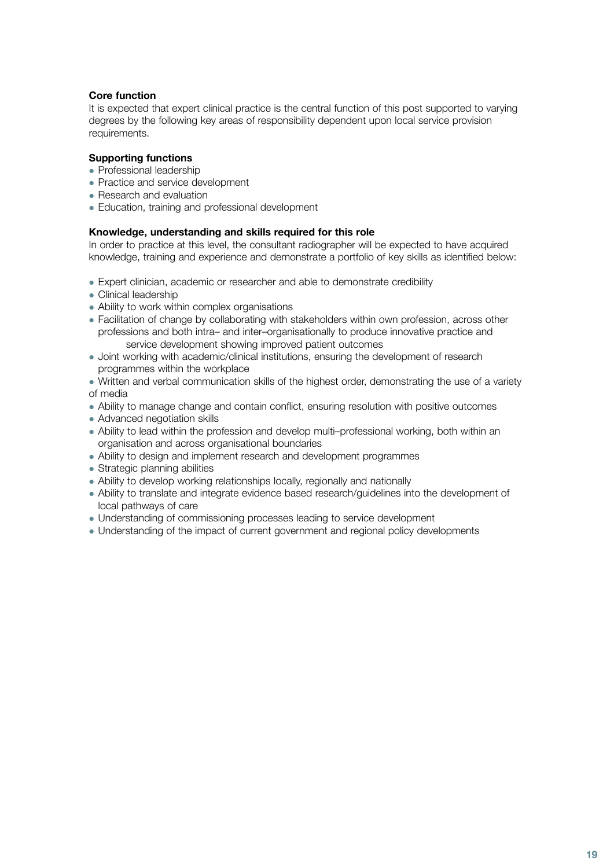### <span id="page-17-0"></span>**Core function**

It is expected that expert clinical practice is the central function of this post supported to varying degrees by the following key areas of responsibility dependent upon local service provision requirements.

### **Supporting functions**

- Professional leadership
- Practice and service development
- Research and evaluation
- Education, training and professional development

### **Knowledge, understanding and skills required for this role**

In order to practice at this level, the consultant radiographer will be expected to have acquired knowledge, training and experience and demonstrate a portfolio of key skills as identified below:

- Expert clinician, academic or researcher and able to demonstrate credibility
- Clinical leadership
- Ability to work within complex organisations
- Facilitation of change by collaborating with stakeholders within own profession, across other professions and both intra– and inter–organisationally to produce innovative practice and service development showing improved patient outcomes
- Joint working with academic/clinical institutions, ensuring the development of research programmes within the workplace
- Written and verbal communication skills of the highest order, demonstrating the use of a variety of media
- Ability to manage change and contain conflict, ensuring resolution with positive outcomes
- Advanced negotiation skills
- Ability to lead within the profession and develop multi–professional working, both within an organisation and across organisational boundaries
- Ability to design and implement research and development programmes
- Strategic planning abilities
- Ability to develop working relationships locally, regionally and nationally
- Ability to translate and integrate evidence based research/guidelines into the development of local pathways of care
- Understanding of commissioning processes leading to service development
- Understanding of the impact of current government and regional policy developments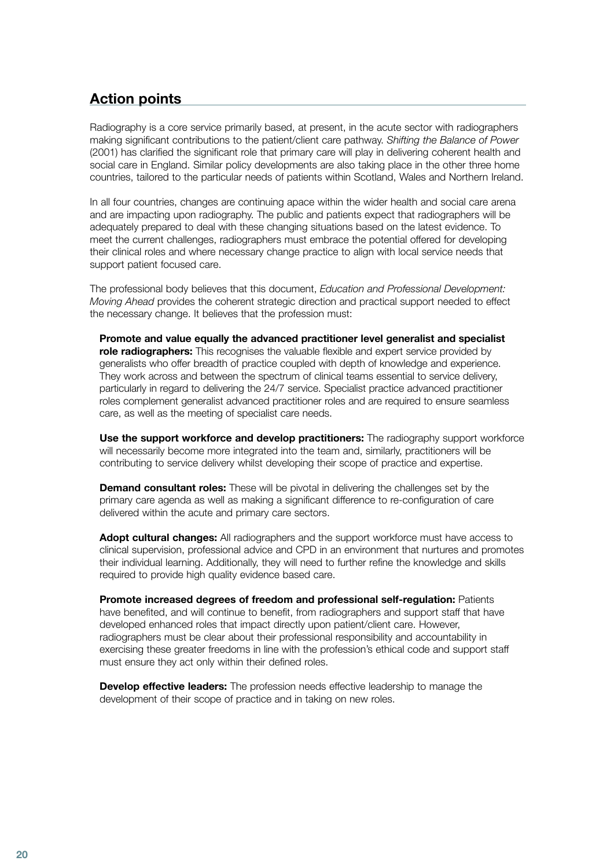### <span id="page-18-0"></span>**Action points**

Radiography is a core service primarily based, at present, in the acute sector with radiographers making significant contributions to the patient/client care pathway. *Shifting the Balance of Power* (2001) has clarified the significant role that primary care will play in delivering coherent health and social care in England. Similar policy developments are also taking place in the other three home countries, tailored to the particular needs of patients within Scotland, Wales and Northern Ireland.

In all four countries, changes are continuing apace within the wider health and social care arena and are impacting upon radiography. The public and patients expect that radiographers will be adequately prepared to deal with these changing situations based on the latest evidence. To meet the current challenges, radiographers must embrace the potential offered for developing their clinical roles and where necessary change practice to align with local service needs that support patient focused care.

The professional body believes that this document, *Education and Professional Development: Moving Ahead* provides the coherent strategic direction and practical support needed to effect the necessary change. It believes that the profession must:

 **Promote and value equally the advanced practitioner level generalist and specialist role radiographers:** This recognises the valuable flexible and expert service provided by generalists who offer breadth of practice coupled with depth of knowledge and experience. They work across and between the spectrum of clinical teams essential to service delivery, particularly in regard to delivering the 24/7 service. Specialist practice advanced practitioner roles complement generalist advanced practitioner roles and are required to ensure seamless care, as well as the meeting of specialist care needs.

 **Use the support workforce and develop practitioners:** The radiography support workforce will necessarily become more integrated into the team and, similarly, practitioners will be contributing to service delivery whilst developing their scope of practice and expertise.

**Demand consultant roles:** These will be pivotal in delivering the challenges set by the primary care agenda as well as making a significant difference to re-configuration of care delivered within the acute and primary care sectors.

 **Adopt cultural changes:** All radiographers and the support workforce must have access to clinical supervision, professional advice and CPD in an environment that nurtures and promotes their individual learning. Additionally, they will need to further refine the knowledge and skills required to provide high quality evidence based care.

 **Promote increased degrees of freedom and professional self-regulation:** Patients have benefited, and will continue to benefit, from radiographers and support staff that have developed enhanced roles that impact directly upon patient/client care. However, radiographers must be clear about their professional responsibility and accountability in exercising these greater freedoms in line with the profession's ethical code and support staff must ensure they act only within their defined roles.

 **Develop effective leaders:** The profession needs effective leadership to manage the development of their scope of practice and in taking on new roles.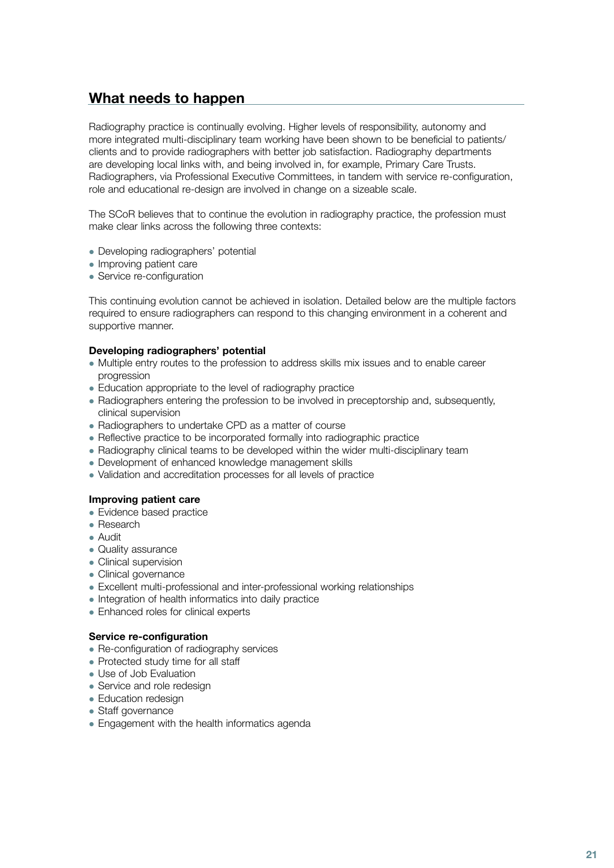### <span id="page-19-0"></span>**What needs to happen**

Radiography practice is continually evolving. Higher levels of responsibility, autonomy and more integrated multi-disciplinary team working have been shown to be beneficial to patients/ clients and to provide radiographers with better job satisfaction. Radiography departments are developing local links with, and being involved in, for example, Primary Care Trusts. Radiographers, via Professional Executive Committees, in tandem with service re-configuration, role and educational re-design are involved in change on a sizeable scale.

The SCoR believes that to continue the evolution in radiography practice, the profession must make clear links across the following three contexts:

- Developing radiographers' potential
- Improving patient care
- Service re-configuration

This continuing evolution cannot be achieved in isolation. Detailed below are the multiple factors required to ensure radiographers can respond to this changing environment in a coherent and supportive manner.

### **Developing radiographers' potential**

- Multiple entry routes to the profession to address skills mix issues and to enable career progression
- Education appropriate to the level of radiography practice
- Radiographers entering the profession to be involved in preceptorship and, subsequently, clinical supervision
- Radiographers to undertake CPD as a matter of course
- Reflective practice to be incorporated formally into radiographic practice
- Radiography clinical teams to be developed within the wider multi-disciplinary team
- Development of enhanced knowledge management skills
- Validation and accreditation processes for all levels of practice

### **Improving patient care**

- Evidence based practice
- Research
- Audit
- Quality assurance
- Clinical supervision
- Clinical governance
- Excellent multi-professional and inter-professional working relationships
- Integration of health informatics into daily practice
- Enhanced roles for clinical experts

### **Service re-configuration**

- Re-configuration of radiography services
- Protected study time for all staff
- Use of Job Evaluation
- Service and role redesign
- Education redesign
- Staff governance
- Engagement with the health informatics agenda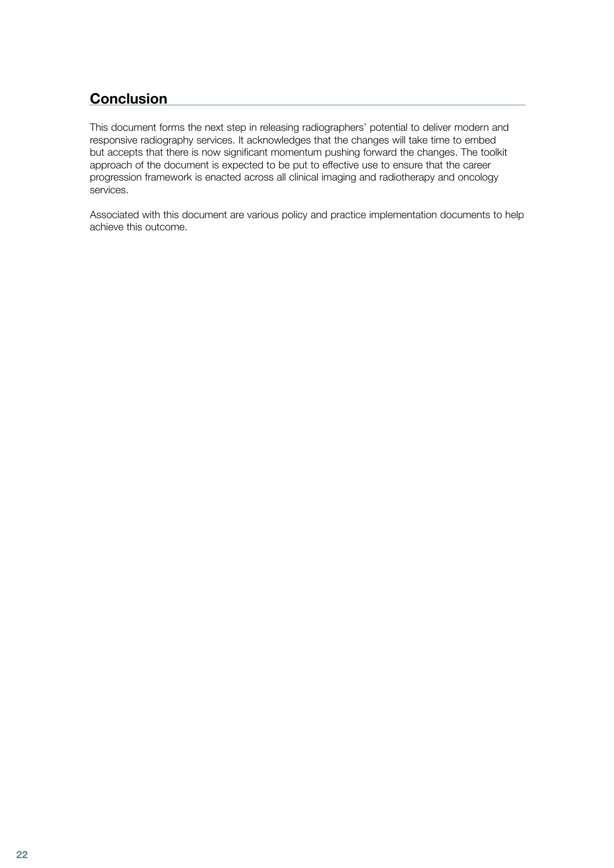### <span id="page-20-0"></span>**Conclusion**

This document forms the next step in releasing radiographers' potential to deliver modern and responsive radiography services. It acknowledges that the changes will take time to embed but accepts that there is now significant momentum pushing forward the changes. The toolkit approach of the document is expected to be put to effective use to ensure that the career progression framework is enacted across all clinical imaging and radiotherapy and oncology services.

Associated with this document are various policy and practice implementation documents to help achieve this outcome.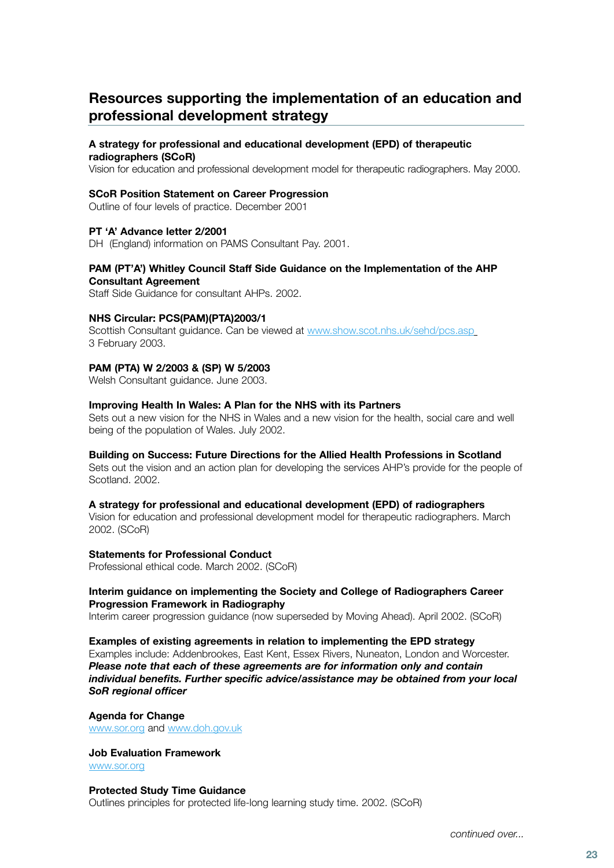### <span id="page-21-0"></span>**Resources supporting the implementation of an education and professional development strategy**

### **A strategy for professional and educational development (EPD) of therapeutic**

**radiographers (SCoR)**

Vision for education and professional development model for therapeutic radiographers. May 2000.

### **SCoR Position Statement on Career Progression**

Outline of four levels of practice. December 2001

### **PT 'A' Advance letter 2/2001**

DH (England) information on PAMS Consultant Pay. 2001.

### **PAM (PT'A') Whitley Council Staff Side Guidance on the Implementation of the AHP Consultant Agreement**

Staff Side Guidance for consultant AHPs. 2002.

### **NHS Circular: PCS(PAM)(PTA)2003/1**

Scottish Consultant guidance. Can be viewed at [www.show.scot.nhs.uk/sehd/pcs.asp](http://www.show.scot.nhs.uk/sehd/pcs.asp) 3 February 2003.

### **PAM (PTA) W 2/2003 & (SP) W 5/2003**

Welsh Consultant guidance. June 2003.

### **Improving Health In Wales: A Plan for the NHS with its Partners**

Sets out a new vision for the NHS in Wales and a new vision for the health, social care and well being of the population of Wales. July 2002.

### **Building on Success: Future Directions for the Allied Health Professions in Scotland**

Sets out the vision and an action plan for developing the services AHP's provide for the people of Scotland. 2002.

### **A strategy for professional and educational development (EPD) of radiographers**

Vision for education and professional development model for therapeutic radiographers. March 2002. (SCoR)

### **Statements for Professional Conduct**

Professional ethical code. March 2002. (SCoR)

### **Interim guidance on implementing the Society and College of Radiographers Career Progression Framework in Radiography**

Interim career progression guidance (now superseded by Moving Ahead). April 2002. (SCoR)

### **Examples of existing agreements in relation to implementing the EPD strategy** Examples include: Addenbrookes, East Kent, Essex Rivers, Nuneaton, London and Worcester. *Please note that each of these agreements are for information only and contain individual benefits. Further specific advice/assistance may be obtained from your local*

*SoR regional officer*  **Agenda for Change**

[www.sor.org](http://www.sor.org) and [www.doh.gov.uk](http://www.doh.gov.uk)

### **Job Evaluation Framework**

[www.sor.org](http://www.sor.org)

### **Protected Study Time Guidance**

Outlines principles for protected life-long learning study time. 2002. (SCoR)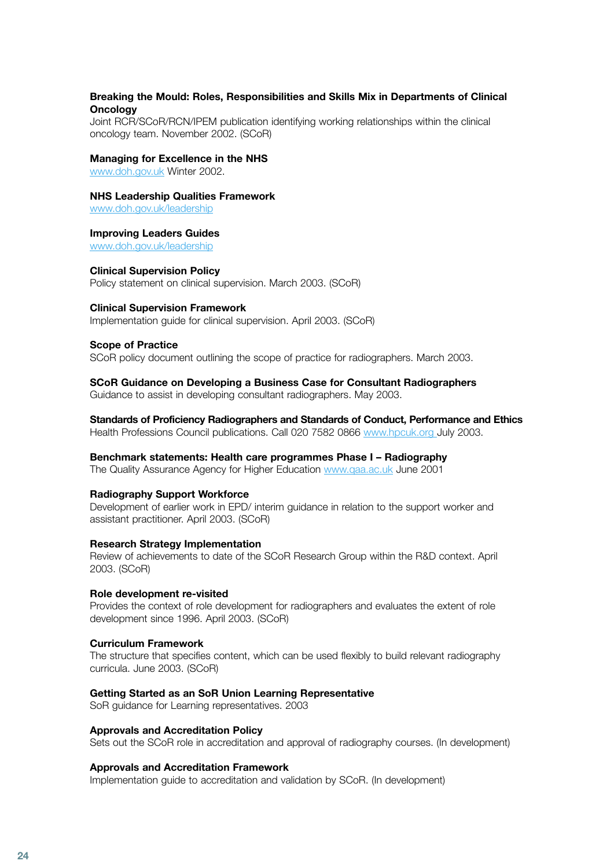### **Breaking the Mould: Roles, Responsibilities and Skills Mix in Departments of Clinical Oncology**

Joint RCR/SCoR/RCN/IPEM publication identifying working relationships within the clinical oncology team. November 2002. (SCoR)

#### **Managing for Excellence in the NHS**

[www.doh.gov.uk](http://www.doh.gov.uk) Winter 2002.

### **NHS Leadership Qualities Framework**

www.doh.gov.uk/leadership

### **Improving Leaders Guides**

www.doh.gov.uk/leadership

#### **Clinical Supervision Policy**

Policy statement on clinical supervision. March 2003. (SCoR)

#### **Clinical Supervision Framework**

Implementation guide for clinical supervision. April 2003. (SCoR)

#### **Scope of Practice**

SCoR policy document outlining the scope of practice for radiographers. March 2003.

### **SCoR Guidance on Developing a Business Case for Consultant Radiographers**

Guidance to assist in developing consultant radiographers. May 2003.

### **Standards of Proficiency Radiographers and Standards of Conduct, Performance and Ethics**

Health Professions Council publications. Call 020 7582 0866 [www.hpcuk.org J](http://www.hpcuk.org)uly 2003.

### **Benchmark statements: Health care programmes Phase I – Radiography**

The Quality Assurance Agency for Higher Education [www.qaa.ac.uk](http://www.qaa.ac.uk) June 2001

### **Radiography Support Workforce**

Development of earlier work in EPD/ interim guidance in relation to the support worker and assistant practitioner. April 2003. (SCoR)

### **Research Strategy Implementation**

Review of achievements to date of the SCoR Research Group within the R&D context. April 2003. (SCoR)

#### **Role development re-visited**

Provides the context of role development for radiographers and evaluates the extent of role development since 1996. April 2003. (SCoR)

#### **Curriculum Framework**

The structure that specifies content, which can be used flexibly to build relevant radiography curricula. June 2003. (SCoR)

### **Getting Started as an SoR Union Learning Representative**

SoR guidance for Learning representatives. 2003

### **Approvals and Accreditation Policy**

Sets out the SCoR role in accreditation and approval of radiography courses. (In development)

### **Approvals and Accreditation Framework**

Implementation guide to accreditation and validation by SCoR. (In development)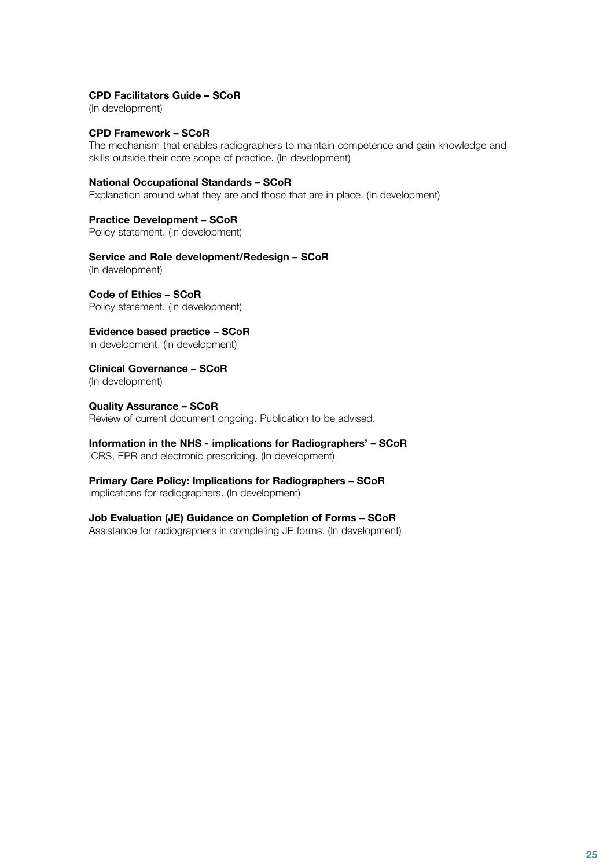### **CPD Facilitators Guide – SCoR**

(In development)

### **CPD Framework – SCoR**

The mechanism that enables radiographers to maintain competence and gain knowledge and skills outside their core scope of practice. (In development)

### **National Occupational Standards – SCoR**

Explanation around what they are and those that are in place. (In development)

### **Practice Development – SCoR**

Policy statement. (In development)

### **Service and Role development/Redesign – SCoR**

(In development)

**Code of Ethics – SCoR** Policy statement. (In development)

**Evidence based practice – SCoR** In development. (In development)

**Clinical Governance – SCoR** (In development)

**Quality Assurance – SCoR** Review of current document ongoing. Publication to be advised.

**Information in the NHS - implications for Radiographers' – SCoR** ICRS, EPR and electronic prescribing. (In development)

### **Primary Care Policy: Implications for Radiographers – SCoR** Implications for radiographers. (In development)

**Job Evaluation (JE) Guidance on Completion of Forms – SCoR** Assistance for radiographers in completing JE forms. (In development)